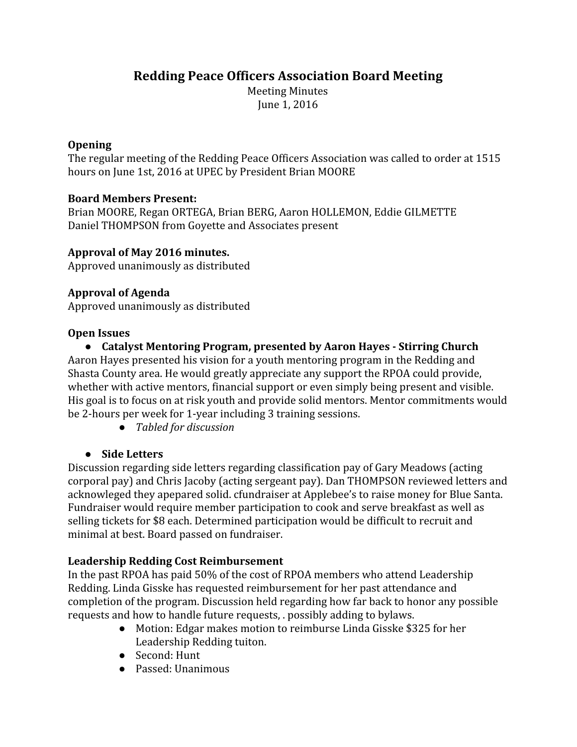# **Redding Peace Officers Association Board Meeting**

Meeting Minutes June 1, 2016

## **Opening**

The regular meeting of the Redding Peace Officers Association was called to order at 1515 hours on June 1st, 2016 at UPEC by President Brian MOORE

# **Board Members Present:**

Brian MOORE, Regan ORTEGA, Brian BERG, Aaron HOLLEMON, Eddie GILMETTE Daniel THOMPSON from Goyette and Associates present

# **Approval of May 2016 minutes.**

Approved unanimously as distributed

# **Approval of Agenda**

Approved unanimously as distributed

## **Open Issues**

**● Catalyst Mentoring Program, presented by Aaron Hayes - Stirring Church** Aaron Hayes presented his vision for a youth mentoring program in the Redding and Shasta County area. He would greatly appreciate any support the RPOA could provide, whether with active mentors, financial support or even simply being present and visible. His goal is to focus on at risk youth and provide solid mentors. Mentor commitments would be 2-hours per week for 1-year including 3 training sessions.

*● Tabled for discussion*

## **● Side Letters**

Discussion regarding side letters regarding classification pay of Gary Meadows (acting corporal pay) and Chris Jacoby (acting sergeant pay). Dan THOMPSON reviewed letters and acknowleged they apepared solid. cfundraiser at Applebee's to raise money for Blue Santa. Fundraiser would require member participation to cook and serve breakfast as well as selling tickets for \$8 each. Determined participation would be difficult to recruit and minimal at best. Board passed on fundraiser.

## **Leadership Redding Cost Reimbursement**

In the past RPOA has paid 50% of the cost of RPOA members who attend Leadership Redding. Linda Gisske has requested reimbursement for her past attendance and completion of the program. Discussion held regarding how far back to honor any possible requests and how to handle future requests, . possibly adding to bylaws.

- Motion: Edgar makes motion to reimburse Linda Gisske \$325 for her Leadership Redding tuiton.
- Second: Hunt
- Passed: Unanimous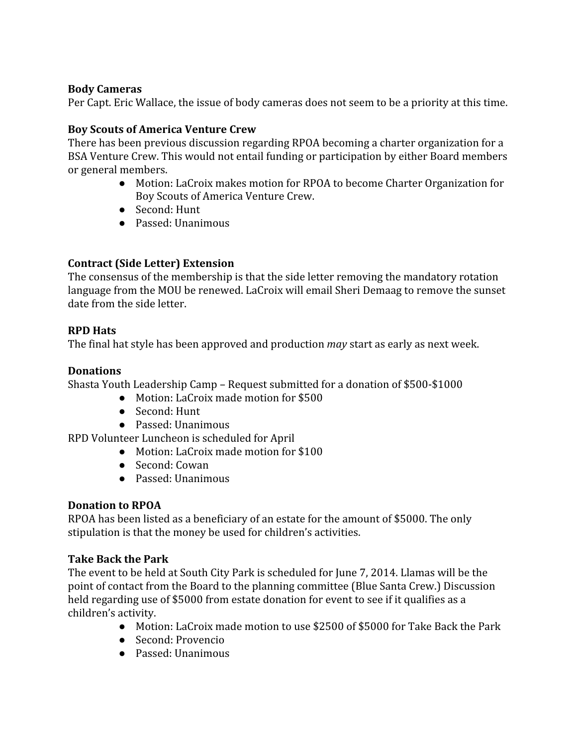#### **Body Cameras**

Per Capt. Eric Wallace, the issue of body cameras does not seem to be a priority at this time.

## **Boy Scouts of America Venture Crew**

There has been previous discussion regarding RPOA becoming a charter organization for a BSA Venture Crew. This would not entail funding or participation by either Board members or general members.

- Motion: LaCroix makes motion for RPOA to become Charter Organization for Boy Scouts of America Venture Crew.
- Second: Hunt
- Passed: Unanimous

## **Contract (Side Letter) Extension**

The consensus of the membership is that the side letter removing the mandatory rotation language from the MOU be renewed. LaCroix will email Sheri Demaag to remove the sunset date from the side letter.

## **RPD Hats**

The final hat style has been approved and production *may* start as early as next week.

## **Donations**

Shasta Youth Leadership Camp – Request submitted for a donation of \$500-\$1000

- Motion: LaCroix made motion for \$500
- Second: Hunt
- Passed: Unanimous

RPD Volunteer Luncheon is scheduled for April

- Motion: LaCroix made motion for \$100
- Second: Cowan
- Passed: Unanimous

#### **Donation to RPOA**

RPOA has been listed as a beneficiary of an estate for the amount of \$5000. The only stipulation is that the money be used for children's activities.

#### **Take Back the Park**

The event to be held at South City Park is scheduled for June 7, 2014. Llamas will be the point of contact from the Board to the planning committee (Blue Santa Crew.) Discussion held regarding use of \$5000 from estate donation for event to see if it qualifies as a children's activity.

- Motion: LaCroix made motion to use \$2500 of \$5000 for Take Back the Park
- Second: Provencio
- Passed: Unanimous